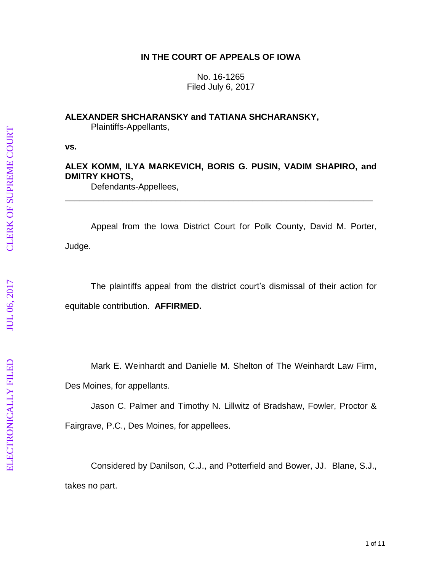# **IN THE COURT OF APPEALS OF IOWA**

No. 16 -1265 Filed July 6, 2017

### **ALEXANDER SHCHARANSKY and TATIANA SHCHARANSKY ,**

Plaintiff s -Appellants ,

**vs.**

# **ALEX KOMM, ILYA MARKEVICH, BORIS G. PUSIN, VADIM SHAPIRO, and DMITRY KHOTS ,**

\_\_\_\_\_\_\_\_\_\_\_\_\_\_\_\_\_\_\_\_\_\_\_\_\_\_\_\_\_\_\_\_\_\_\_\_\_\_\_\_\_\_\_\_\_\_\_\_\_\_\_\_\_\_\_\_\_\_\_\_\_\_\_\_

Defendants-Appellees,

Appeal from the Iowa District Court for Polk County, David M. Porter, Judge.

The plaintiffs appeal from the district court's dismissal of their action for equitable contribution. **AFFIRMED.**

Mark E. Weinhardt and Danielle M. Shelton of The Weinhardt Law Firm,

Des Moines, for appellants.

Jason C. Palmer and Timothy N. Lillwitz of Bradshaw, Fowler, Proctor &

Fairgrave, P.C., Des Moines, for appellee s .

Considered by Danilson, C.J., and Potterfield and Bower, JJ. Blane, S.J., takes no part.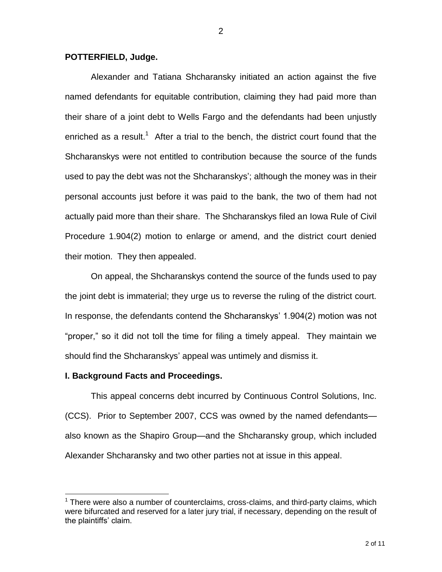#### **POTTERFIELD, Judge.**

Alexander and Tatiana Shcharansky initiated an action against the five named defendants for equitable contribution, claiming they had paid more than their share of a joint debt to Wells Fargo and the defendants had been unjustly enriched as a result.<sup>1</sup> After a trial to the bench, the district court found that the Shcharanskys were not entitled to contribution because the source of the funds used to pay the debt was not the Shcharanskys'; although the money was in their personal accounts just before it was paid to the bank, the two of them had not actually paid more than their share. The Shcharanskys filed an Iowa Rule of Civil Procedure 1.904(2) motion to enlarge or amend, and the district court denied their motion. They then appealed.

On appeal, the Shcharanskys contend the source of the funds used to pay the joint debt is immaterial; they urge us to reverse the ruling of the district court. In response, the defendants contend the Shcharanskys' 1.904(2) motion was not "proper," so it did not toll the time for filing a timely appeal. They maintain we should find the Shcharanskys' appeal was untimely and dismiss it.

#### **I. Background Facts and Proceedings.**

 $\overline{a}$ 

This appeal concerns debt incurred by Continuous Control Solutions, Inc. (CCS). Prior to September 2007, CCS was owned by the named defendants also known as the Shapiro Group—and the Shcharansky group, which included Alexander Shcharansky and two other parties not at issue in this appeal.

 $<sup>1</sup>$  There were also a number of counterclaims, cross-claims, and third-party claims, which</sup> were bifurcated and reserved for a later jury trial, if necessary, depending on the result of the plaintiffs' claim.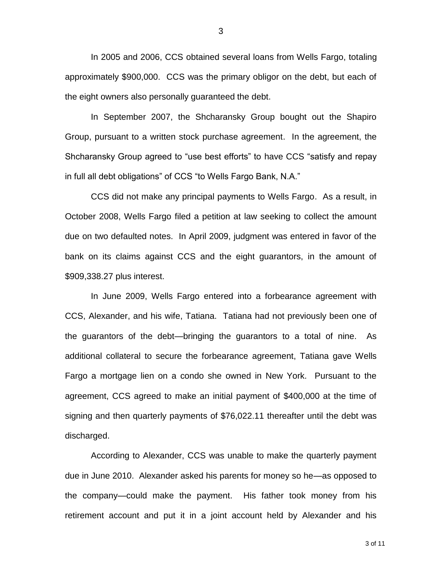In 2005 and 2006, CCS obtained several loans from Wells Fargo, totaling approximately \$900,000. CCS was the primary obligor on the debt, but each of the eight owners also personally guaranteed the debt.

In September 2007, the Shcharansky Group bought out the Shapiro Group, pursuant to a written stock purchase agreement. In the agreement, the Shcharansky Group agreed to "use best efforts" to have CCS "satisfy and repay in full all debt obligations" of CCS "to Wells Fargo Bank, N.A."

CCS did not make any principal payments to Wells Fargo. As a result, in October 2008, Wells Fargo filed a petition at law seeking to collect the amount due on two defaulted notes. In April 2009, judgment was entered in favor of the bank on its claims against CCS and the eight guarantors, in the amount of \$909,338.27 plus interest.

In June 2009, Wells Fargo entered into a forbearance agreement with CCS, Alexander, and his wife, Tatiana. Tatiana had not previously been one of the guarantors of the debt—bringing the guarantors to a total of nine. As additional collateral to secure the forbearance agreement, Tatiana gave Wells Fargo a mortgage lien on a condo she owned in New York. Pursuant to the agreement, CCS agreed to make an initial payment of \$400,000 at the time of signing and then quarterly payments of \$76,022.11 thereafter until the debt was discharged.

According to Alexander, CCS was unable to make the quarterly payment due in June 2010. Alexander asked his parents for money so he—as opposed to the company—could make the payment. His father took money from his retirement account and put it in a joint account held by Alexander and his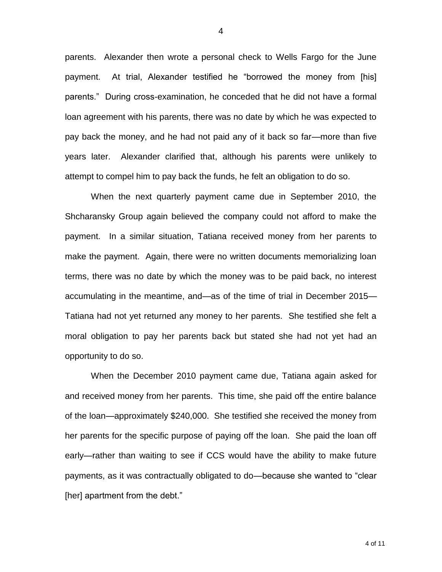parents. Alexander then wrote a personal check to Wells Fargo for the June payment. At trial, Alexander testified he "borrowed the money from [his] parents." During cross-examination, he conceded that he did not have a formal loan agreement with his parents, there was no date by which he was expected to pay back the money, and he had not paid any of it back so far—more than five years later. Alexander clarified that, although his parents were unlikely to attempt to compel him to pay back the funds, he felt an obligation to do so.

When the next quarterly payment came due in September 2010, the Shcharansky Group again believed the company could not afford to make the payment. In a similar situation, Tatiana received money from her parents to make the payment. Again, there were no written documents memorializing loan terms, there was no date by which the money was to be paid back, no interest accumulating in the meantime, and—as of the time of trial in December 2015— Tatiana had not yet returned any money to her parents. She testified she felt a moral obligation to pay her parents back but stated she had not yet had an opportunity to do so.

When the December 2010 payment came due, Tatiana again asked for and received money from her parents. This time, she paid off the entire balance of the loan—approximately \$240,000. She testified she received the money from her parents for the specific purpose of paying off the loan. She paid the loan off early—rather than waiting to see if CCS would have the ability to make future payments, as it was contractually obligated to do—because she wanted to "clear [her] apartment from the debt."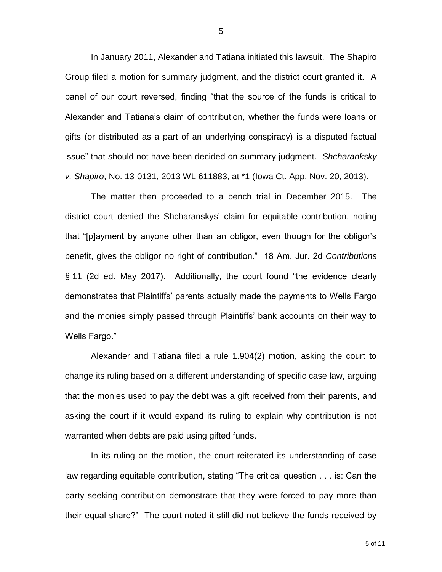In January 2011, Alexander and Tatiana initiated this lawsuit. The Shapiro Group filed a motion for summary judgment, and the district court granted it. A panel of our court reversed, finding "that the source of the funds is critical to Alexander and Tatiana's claim of contribution, whether the funds were loans or gifts (or distributed as a part of an underlying conspiracy) is a disputed factual issue" that should not have been decided on summary judgment. *Shcharanksky v. Shapiro*, No. 13-0131, 2013 WL 611883, at \*1 (Iowa Ct. App. Nov. 20, 2013).

The matter then proceeded to a bench trial in December 2015. The district court denied the Shcharanskys' claim for equitable contribution, noting that "[p]ayment by anyone other than an obligor, even though for the obligor's benefit, gives the obligor no right of contribution." 18 Am. Jur. 2d *Contributions*  § 11 (2d ed. May 2017). Additionally, the court found "the evidence clearly demonstrates that Plaintiffs' parents actually made the payments to Wells Fargo and the monies simply passed through Plaintiffs' bank accounts on their way to Wells Fargo."

Alexander and Tatiana filed a rule 1.904(2) motion, asking the court to change its ruling based on a different understanding of specific case law, arguing that the monies used to pay the debt was a gift received from their parents, and asking the court if it would expand its ruling to explain why contribution is not warranted when debts are paid using gifted funds.

In its ruling on the motion, the court reiterated its understanding of case law regarding equitable contribution, stating "The critical question . . . is: Can the party seeking contribution demonstrate that they were forced to pay more than their equal share?" The court noted it still did not believe the funds received by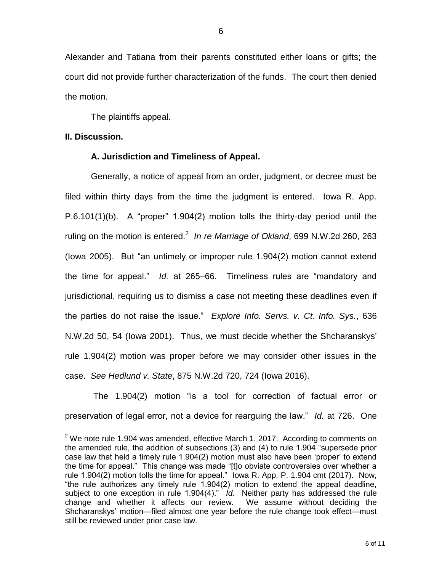Alexander and Tatiana from their parents constituted either loans or gifts; the court did not provide further characterization of the funds. The court then denied the motion.

The plaintiffs appeal.

### **II. Discussion.**

 $\overline{a}$ 

## **A. Jurisdiction and Timeliness of Appeal.**

Generally, a notice of appeal from an order, judgment, or decree must be filed within thirty days from the time the judgment is entered. Iowa R. App. P.6.101(1)(b). A "proper" 1.904(2) motion tolls the thirty-day period until the ruling on the motion is entered.<sup>2</sup> In re Marriage of Okland, 699 N.W.2d 260, 263 (Iowa 2005). But "an untimely or improper rule 1.904(2) motion cannot extend the time for appeal." *Id.* at 265–66. Timeliness rules are "mandatory and jurisdictional, requiring us to dismiss a case not meeting these deadlines even if the parties do not raise the issue." *Explore Info. Servs. v. Ct. Info. Sys.*, 636 N.W.2d 50, 54 (Iowa 2001). Thus, we must decide whether the Shcharanskys' rule 1.904(2) motion was proper before we may consider other issues in the case. *See Hedlund v. State*, 875 N.W.2d 720, 724 (Iowa 2016).

The 1.904(2) motion "is a tool for correction of factual error or preservation of legal error, not a device for rearguing the law." *Id.* at 726. One

 $2$  We note rule 1.904 was amended, effective March 1, 2017. According to comments on the amended rule, the addition of subsections (3) and (4) to rule 1.904 "supersede prior case law that held a timely rule 1.904(2) motion must also have been 'proper' to extend the time for appeal." This change was made "[t]o obviate controversies over whether a rule 1.904(2) motion tolls the time for appeal." Iowa R. App. P. 1.904 cmt (2017). Now, "the rule authorizes any timely rule 1.904(2) motion to extend the appeal deadline, subject to one exception in rule 1.904(4)." *Id.* Neither party has addressed the rule change and whether it affects our review. We assume without deciding the Shcharanskys' motion—filed almost one year before the rule change took effect—must still be reviewed under prior case law.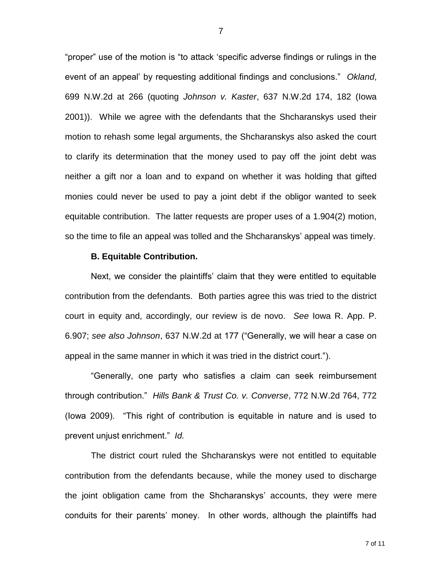"proper" use of the motion is "to attack 'specific adverse findings or rulings in the event of an appeal' by requesting additional findings and conclusions." *Okland*, 699 N.W.2d at 266 (quoting *Johnson v. Kaster*, 637 N.W.2d 174, 182 (Iowa 2001)). While we agree with the defendants that the Shcharanskys used their motion to rehash some legal arguments, the Shcharanskys also asked the court to clarify its determination that the money used to pay off the joint debt was neither a gift nor a loan and to expand on whether it was holding that gifted monies could never be used to pay a joint debt if the obligor wanted to seek equitable contribution. The latter requests are proper uses of a 1.904(2) motion, so the time to file an appeal was tolled and the Shcharanskys' appeal was timely.

#### **B. Equitable Contribution.**

Next, we consider the plaintiffs' claim that they were entitled to equitable contribution from the defendants. Both parties agree this was tried to the district court in equity and, accordingly, our review is de novo. *See* Iowa R. App. P. 6.907; *see also Johnson*, 637 N.W.2d at 177 ("Generally, we will hear a case on appeal in the same manner in which it was tried in the district court.").

"Generally, one party who satisfies a claim can seek reimbursement through contribution." *Hills Bank & Trust Co. v. Converse*, 772 N.W.2d 764, 772 (Iowa 2009). "This right of contribution is equitable in nature and is used to prevent unjust enrichment." *Id.* 

The district court ruled the Shcharanskys were not entitled to equitable contribution from the defendants because, while the money used to discharge the joint obligation came from the Shcharanskys' accounts, they were mere conduits for their parents' money. In other words, although the plaintiffs had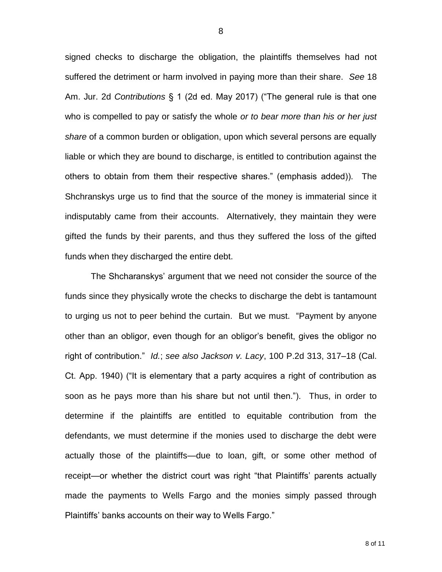signed checks to discharge the obligation, the plaintiffs themselves had not suffered the detriment or harm involved in paying more than their share. *See* 18 Am. Jur. 2d *Contributions* § 1 (2d ed. May 2017) ("The general rule is that one who is compelled to pay or satisfy the whole *or to bear more than his or her just share* of a common burden or obligation, upon which several persons are equally liable or which they are bound to discharge, is entitled to contribution against the others to obtain from them their respective shares." (emphasis added)). The Shchranskys urge us to find that the source of the money is immaterial since it indisputably came from their accounts. Alternatively, they maintain they were gifted the funds by their parents, and thus they suffered the loss of the gifted funds when they discharged the entire debt.

The Shcharanskys' argument that we need not consider the source of the funds since they physically wrote the checks to discharge the debt is tantamount to urging us not to peer behind the curtain. But we must. "Payment by anyone other than an obligor, even though for an obligor's benefit, gives the obligor no right of contribution." *Id.*; *see also Jackson v. Lacy*, 100 P.2d 313, 317–18 (Cal. Ct. App. 1940) ("It is elementary that a party acquires a right of contribution as soon as he pays more than his share but not until then."). Thus, in order to determine if the plaintiffs are entitled to equitable contribution from the defendants, we must determine if the monies used to discharge the debt were actually those of the plaintiffs—due to loan, gift, or some other method of receipt—or whether the district court was right "that Plaintiffs' parents actually made the payments to Wells Fargo and the monies simply passed through Plaintiffs' banks accounts on their way to Wells Fargo."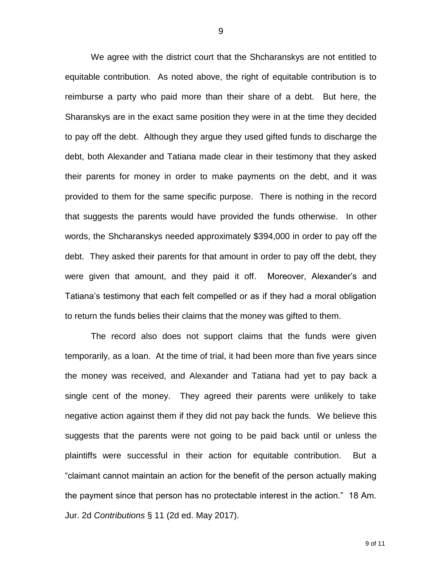We agree with the district court that the Shcharanskys are not entitled to equitable contribution. As noted above, the right of equitable contribution is to reimburse a party who paid more than their share of a debt. But here, the Sharanskys are in the exact same position they were in at the time they decided to pay off the debt. Although they argue they used gifted funds to discharge the debt, both Alexander and Tatiana made clear in their testimony that they asked their parents for money in order to make payments on the debt, and it was provided to them for the same specific purpose. There is nothing in the record that suggests the parents would have provided the funds otherwise. In other words, the Shcharanskys needed approximately \$394,000 in order to pay off the debt. They asked their parents for that amount in order to pay off the debt, they were given that amount, and they paid it off. Moreover, Alexander's and Tatiana's testimony that each felt compelled or as if they had a moral obligation to return the funds belies their claims that the money was gifted to them.

The record also does not support claims that the funds were given temporarily, as a loan. At the time of trial, it had been more than five years since the money was received, and Alexander and Tatiana had yet to pay back a single cent of the money. They agreed their parents were unlikely to take negative action against them if they did not pay back the funds. We believe this suggests that the parents were not going to be paid back until or unless the plaintiffs were successful in their action for equitable contribution. But a "claimant cannot maintain an action for the benefit of the person actually making the payment since that person has no protectable interest in the action." 18 Am. Jur. 2d *Contributions* § 11 (2d ed. May 2017).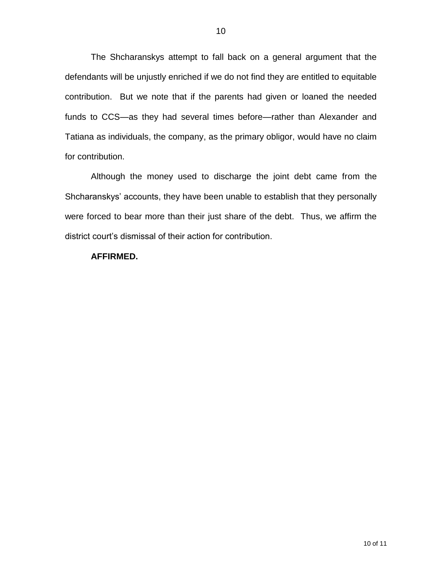The Shcharanskys attempt to fall back on a general argument that the defendants will be unjustly enriched if we do not find they are entitled to equitable contribution. But we note that if the parents had given or loaned the needed funds to CCS—as they had several times before—rather than Alexander and Tatiana as individuals, the company, as the primary obligor, would have no claim for contribution.

Although the money used to discharge the joint debt came from the Shcharanskys' accounts, they have been unable to establish that they personally were forced to bear more than their just share of the debt. Thus, we affirm the district court's dismissal of their action for contribution.

### **AFFIRMED.**